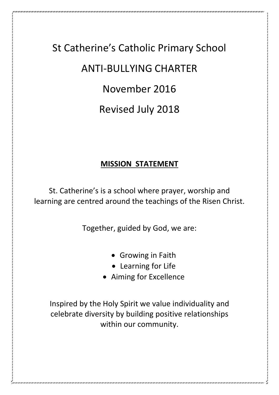## St Catherine's Catholic Primary School ANTI-BULLYING CHARTER November 2016 Revised July 2018

## **MISSION STATEMENT**

St. Catherine's is a school where prayer, worship and learning are centred around the teachings of the Risen Christ.

Together, guided by God, we are:

- Growing in Faith
- Learning for Life
- Aiming for Excellence

Inspired by the Holy Spirit we value individuality and celebrate diversity by building positive relationships within our community.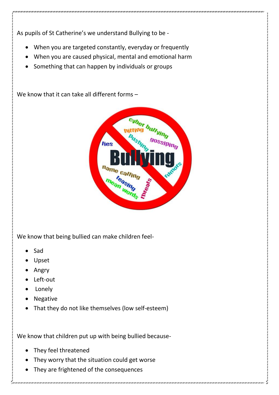As pupils of St Catherine's we understand Bullying to be -

- When you are targeted constantly, everyday or frequently
- When you are caused physical, mental and emotional harm
- Something that can happen by individuals or groups

We know that it can take all different forms –



We know that being bullied can make children feel-

- Sad
- Upset
- Angry
- Left-out
- Lonely
- Negative
- That they do not like themselves (low self-esteem)

We know that children put up with being bullied because-

- They feel threatened
- They worry that the situation could get worse
- They are frightened of the consequences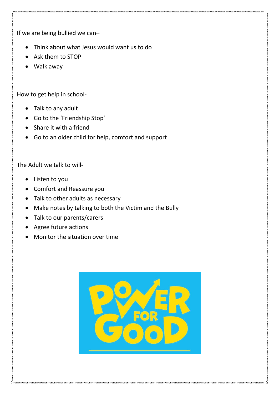If we are being bullied we can–

- Think about what Jesus would want us to do
- Ask them to STOP
- Walk away

How to get help in school-

- Talk to any adult
- Go to the 'Friendship Stop'
- Share it with a friend
- Go to an older child for help, comfort and support

## The Adult we talk to will-

- Listen to you
- Comfort and Reassure you
- Talk to other adults as necessary
- Make notes by talking to both the Victim and the Bully
- Talk to our parents/carers
- Agree future actions
- Monitor the situation over time